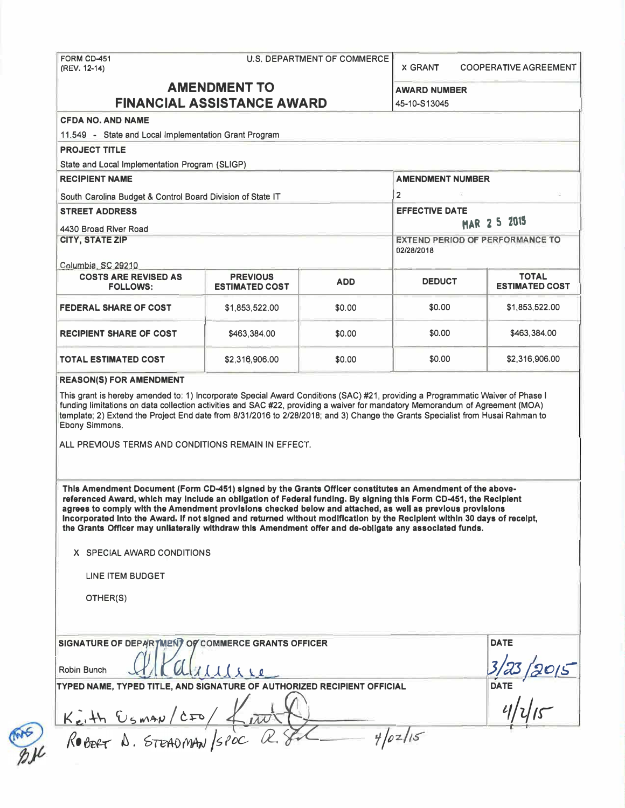**(REV. 12-14)** 

*X* **GRANT COOPERATIVE AGREEMENT** 

# **AMENDMENT TO FINANCIAL ASSISTANCE AWARD**

**AWARD NUMBER** 

-

| <b>FINANCIAL ASSISTANCE AWARD</b>                          |                                          |                | 45-10-S13045                                         |                                       |
|------------------------------------------------------------|------------------------------------------|----------------|------------------------------------------------------|---------------------------------------|
| <b>CFDA NO. AND NAME</b>                                   |                                          |                |                                                      |                                       |
| 11.549 - State and Local Implementation Grant Program      |                                          |                |                                                      |                                       |
| <b>PROJECT TITLE</b>                                       |                                          |                |                                                      |                                       |
| State and Local Implementation Program (SLIGP)             |                                          |                |                                                      |                                       |
| <b>RECIPIENT NAME</b>                                      |                                          |                | <b>AMENDMENT NUMBER</b>                              |                                       |
| South Carolina Budget & Control Board Division of State IT |                                          | $\overline{2}$ |                                                      |                                       |
| <b>STREET ADDRESS</b>                                      |                                          |                | <b>EFFECTIVE DATE</b><br>MAR 2 5 2015                |                                       |
| 4430 Broad River Road                                      |                                          |                |                                                      |                                       |
| <b>CITY, STATE ZIP</b>                                     |                                          |                | <b>EXTEND PERIOD OF PERFORMANCE TO</b><br>02/28/2018 |                                       |
| Columbia, SC 29210                                         |                                          |                |                                                      |                                       |
| <b>COSTS ARE REVISED AS</b><br><b>FOLLOWS:</b>             | <b>PREVIOUS</b><br><b>ESTIMATED COST</b> | <b>ADD</b>     | <b>DEDUCT</b>                                        | <b>TOTAL</b><br><b>ESTIMATED COST</b> |
| <b>FEDERAL SHARE OF COST</b>                               | \$1,853,522,00                           | \$0.00         | \$0.00                                               | \$1,853,522.00                        |
| <b>RECIPIENT SHARE OF COST</b>                             | \$463,384.00                             | \$0.00         | \$0.00                                               | \$463,384.00                          |
| <b>TOTAL ESTIMATED COST</b>                                | \$2,316,906.00                           | \$0.00         | \$0.00                                               | \$2,316,906.00                        |

**funding limitations on data collection activities and SAC #22, providing a waiver for mandatory Memorandum of Agreement (MOA) template; 2) Extend the Project End date from 8/31/2016 to 2/28/2018; and 3) Change the Grants Specialist from Husai Rahman to Ebony Simmons.** 

**ALL PREVIOUS TERMS AND CONDITIONS REMAIN IN EFFECT.** 

**This Amendment Document (Form CD-451) signed by the Grants Officer constitutes an Amendment of the abovereferenced Award, which may Include an obligation of Federal funding. By signing this Form CD-451, the Recipient agrees to comply with the Amendment provisions checked below and attached, as well as previous provisions Incorporated Into the Award. If not signed and returned without modification by the Recipient within 30 days of receipt, the Grants Officer may unllaterally withdraw this Amendment offer and de-obligate any associated funds.** 

**X SPECIAL AWARD CONDITIONS** 

**LINE ITEM BUDGET** 

**OTHER(S)** 

| SIGNATURE OF DEPARTMENT OF COMMERCE GRANTS OFFICER                      | <b>DATE</b> |
|-------------------------------------------------------------------------|-------------|
| $l$ i re<br>Robin Bunch                                                 |             |
| TYPED NAME, TYPED TITLE, AND SIGNATURE OF AUTHORIZED RECIPIENT OFFICIAL | <b>DATE</b> |
| $K_{e} + h \frac{C_{5}map}{c}$                                          |             |
| ROBERT A. STEADMAN/SPOC R.<br>4/02/15                                   |             |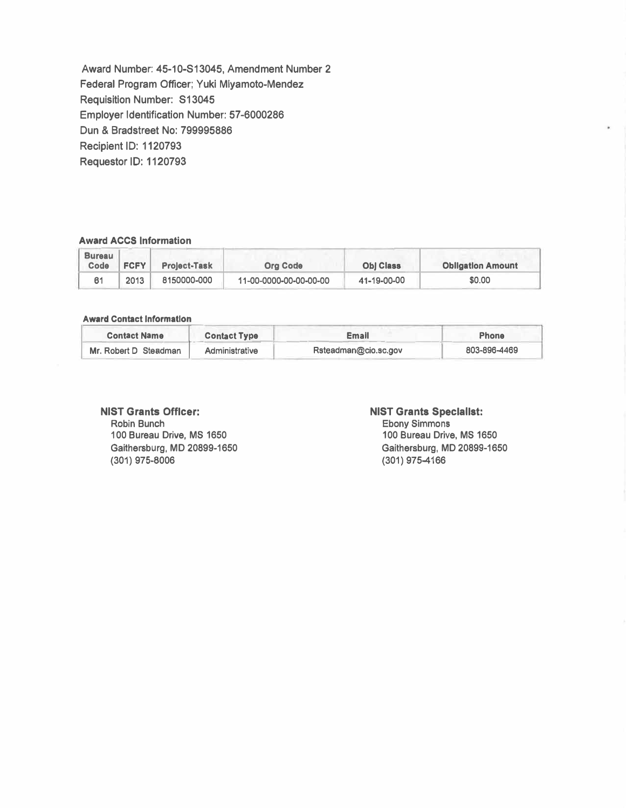**Award Number: 45-10-S13045, Amendment Number 2 Federal Program Officer; Yuki Miyamoto-Mendez Requisition Number: S13045 Employer Identification Number: 57-6000286 Dun & Bradstreet No: 799995886 Recipient ID: 1120793 Requestor ID: 1120793** 

#### **Award ACCS Information**

| <b>Bureau</b><br>Code | <b>FCFY</b> | <b>Project-Task</b> | <b>Org Code</b>        | <b>Obj Class</b> | <b>Obligation Amount</b> |
|-----------------------|-------------|---------------------|------------------------|------------------|--------------------------|
|                       | 2013        | 8150000-000         | 11-00-0000-00-00-00-00 | 41-19-00-00      | \$0.00                   |

#### **Award** Contact Information

| Award Contact miorination |                     |                      |              |
|---------------------------|---------------------|----------------------|--------------|
| <b>Contact Name</b>       | <b>Contact Type</b> | <b>Email</b>         | <b>Phone</b> |
| Mr. Robert D Steadman     | Administrative      | Rsteadman@cio.sc.gov | 803-896-4469 |

# **NIST Grants Officer:**

**Robin Bunch 100 Bureau Drive, MS 1650 Gaithersburg, MD 20899-1650 (301) 975-8006**

#### **NIST Grants Specialist:**

**Ebony Simmons 100 Bureau Drive, MS 1650 Gaithersburg, MD 20899-1650 (301) 975-4166**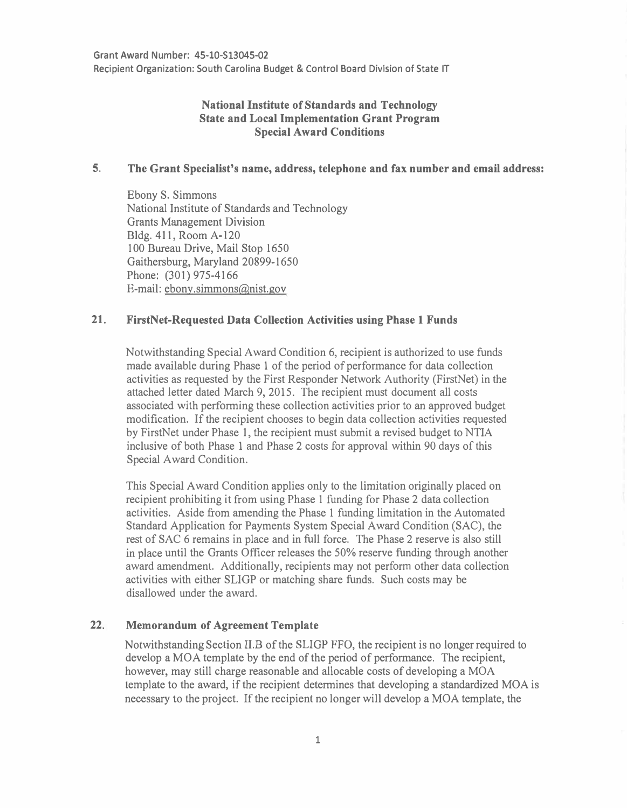## **National Institute of Standards and Technology State and Local Implementation Grant Program Special Award Conditions**

#### **5. The Grant Specialist's name, address, telephone and fax number and email address:**

Ebony S. Simmons National Institute of Standards and Technology Grants Management Division Bldg. 411, Room A-120 100 Bureau Drive, Mail Stop 1650 Gaithersburg, Maryland 20899-1650 Phone: (301) 975-4166 E-mail: ebony.simmons@nist.gov

### **21. FirstNet-Requested Data Collection Activities using Phase 1 Funds**

Notwithstanding Special Award Condition 6, recipient is authorized to use funds made available during Phase 1 of the period of performance for data collection activities as requested by the First Responder Network Authority (FirstNet) in the attached letter dated March 9, 2015. The recipient must document all costs associated with performing these collection activities prior to an approved budget modification. If the recipient chooses to begin data collection activities requested by FirstNet under Phase 1, the recipient must submit a revised budget to NTIA inclusive of both Phase 1 and Phase 2 costs for approval within 90 days of this Special Award Condition.

This Special Award Condition applies only to the limitation originally placed on recipient prohibiting it from using Phase 1 funding for Phase 2 data collection activities. Aside from amending the Phase 1 funding limitation in the Automated Standard Application for Payments System Special Award Condition (SAC), the rest of SAC 6 remains in place and in full force. The Phase 2 reserve is also still in place until the Grants Officer releases the 50% reserve funding through another award amendment. Additionally, recipients may not perform other data collection activities with either SLIGP or matching share funds. Such costs may be disallowed under the award.

#### **22. Memorandum of Agreement Template**

Notwithstanding Section II.B of the SLIGP FFO, the recipient is no longer required to develop a MOA template by the end of the period of performance. The recipient, however, may still charge reasonable and allocable costs of developing a MOA template to the award, if the recipient determines that developing a standardized MOA is necessary to the project. If the recipient no longer will develop a MOA template, the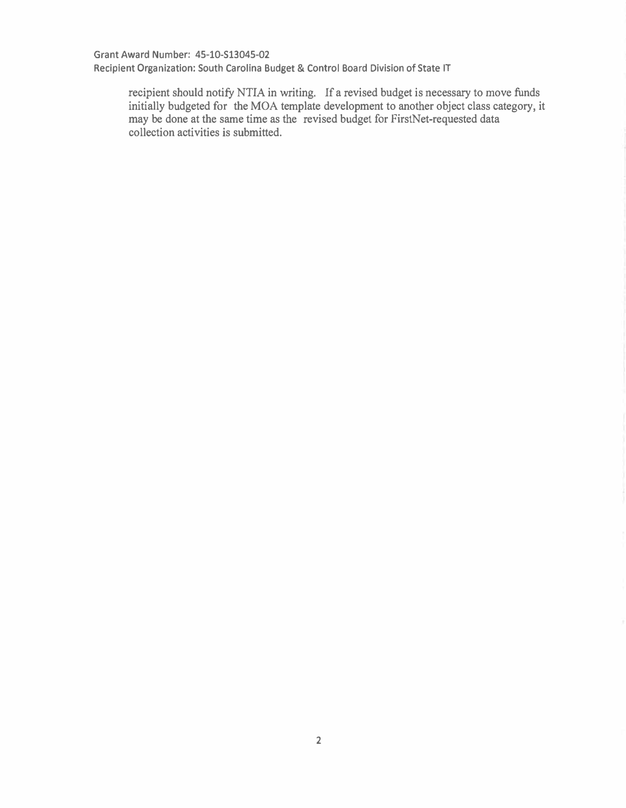**Grant Award Number: 45-10-S13045-02** 

**Recipient Organization: South Carolina Budget & Control Board Division of State IT** 

recipient should notify NTIA in writing. If a revised budget is necessary to move funds initially budgeted for the MOA template development to another object class category, it may be done at the same time as the revised budget for FirstNet-requested data collection activities is submitted.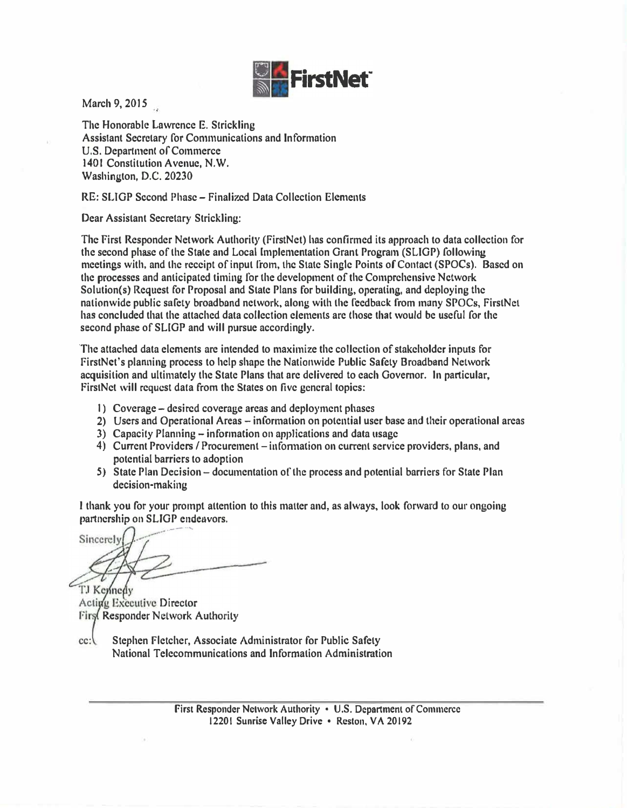

**March 9, 2015** 

**The Honorable Lawrence E. Strickling Assistant Secretary for Communications and Information U.S. Department of Commerce 1401 Constitution Avenue, N.W. Washington, D.C. 20230** 

**RE: SLTGP Second Phase - Finalized Data Collection Elements** 

**Dear Assistant Secretary Strickling:** 

**The First Responder Network Authority (FirstNet) has confirmed its approach to data collection for the second phase of the Stale and Local Implementation Grant Program (SLIGP) following meetings with, and the receipt of input from, the Stale Single Points of Contact {SPOCs). Based on the processes and anticipated timing for the development of the Comprehensive Network Solution(s) Request for Proposal and State Plans for building, operating, and deploying the nationwide public safety broadbond network, along with the feedback from many SPOCs, FirstNet has concluded that the attached data collection elements are those that would be useful for the second phase of SUGP and will pursue accordingly.** 

**The attached data elements are intended to maximize the collection of stakeholder inputs for firstNet's planning process to help shape the Nationwide Public Safety Broadband Network acquisition and ultimately the State Plans that are delivered to each Governor. In particular,**  FirstNet will request data from the States on five general topics:

- **1) Coverage -desired coverage areas and deployment phases**
- **2) Users and Operational Areas - information on potential user base and their operational areas**
- **3) Capacity Planning - information on applications and data usage**
- **4) Current Providers/ Procurement - infonnation on current service providers, plans, and potential barriers to adoption**
- **5) State Plan Decision - documentation of the process and potential barriers for State Plan decision-making**

**I thank you for your prompt attention to this matter and, as always, look forward to our ongoing partnership on SLJGP endeavors.** 

Sincerely TJ Keynedy

Acting Executive Director First Responder Network Authority

**cc: Stephen f !etcher, Associate Administrator for Public Safety National Telecommunications and Information Administration**